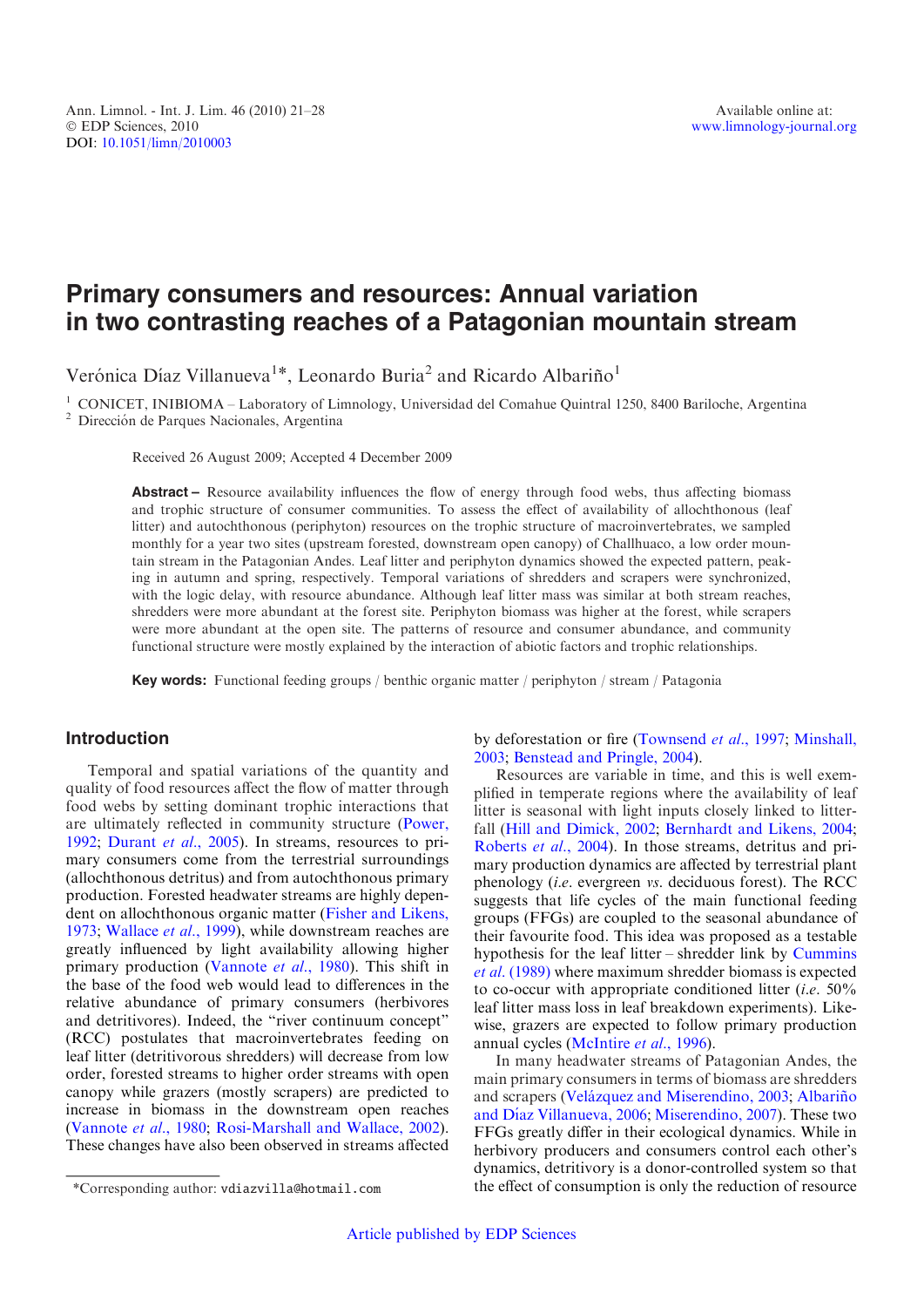# Primary consumers and resources: Annual variation in two contrasting reaches of a Patagonian mountain stream

Verónica Díaz Villanueva<sup>1\*</sup>, Leonardo Buria<sup>2</sup> and Ricardo Albariño<sup>1</sup>

<sup>1</sup> CONICET, INIBIOMA – Laboratory of Limnology, Universidad del Comahue Quintral 1250, 8400 Bariloche, Argentina <sup>2</sup> Dirección de Parques Nacionales, Argentina

Received 26 August 2009; Accepted 4 December 2009

Abstract – Resource availability influences the flow of energy through food webs, thus affecting biomass and trophic structure of consumer communities. To assess the effect of availability of allochthonous (leaf litter) and autochthonous (periphyton) resources on the trophic structure of macroinvertebrates, we sampled monthly for a year two sites (upstream forested, downstream open canopy) of Challhuaco, a low order mountain stream in the Patagonian Andes. Leaf litter and periphyton dynamics showed the expected pattern, peaking in autumn and spring, respectively. Temporal variations of shredders and scrapers were synchronized, with the logic delay, with resource abundance. Although leaf litter mass was similar at both stream reaches, shredders were more abundant at the forest site. Periphyton biomass was higher at the forest, while scrapers were more abundant at the open site. The patterns of resource and consumer abundance, and community functional structure were mostly explained by the interaction of abiotic factors and trophic relationships.

Key words: Functional feeding groups / benthic organic matter / periphyton / stream / Patagonia

# Introduction

Temporal and spatial variations of the quantity and quality of food resources affect the flow of matter through food webs by setting dominant trophic interactions that are ultimately reflected in community structure ([Power,](#page-7-0) [1992](#page-7-0); [Durant](#page-7-0) et al., 2005). In streams, resources to primary consumers come from the terrestrial surroundings (allochthonous detritus) and from autochthonous primary production. Forested headwater streams are highly dependent on allochthonous organic matter ([Fisher and Likens,](#page-7-0) [1973](#page-7-0); [Wallace](#page-7-0) et al., 1999), while downstream reaches are greatly influenced by light availability allowing higher primary production [\(Vannote](#page-7-0) et al., 1980). This shift in the base of the food web would lead to differences in the relative abundance of primary consumers (herbivores and detritivores). Indeed, the "river continuum concept" (RCC) postulates that macroinvertebrates feeding on leaf litter (detritivorous shredders) will decrease from low order, forested streams to higher order streams with open canopy while grazers (mostly scrapers) are predicted to increase in biomass in the downstream open reaches ([Vannote](#page-7-0) et al., 1980; [Rosi-Marshall and Wallace, 2002](#page-7-0)). These changes have also been observed in streams affected

by deforestation or fire ([Townsend](#page-7-0) et al., 1997; [Minshall,](#page-7-0) [2003](#page-7-0); [Benstead and Pringle, 2004](#page-6-0)).

Resources are variable in time, and this is well exemplified in temperate regions where the availability of leaf litter is seasonal with light inputs closely linked to litterfall ([Hill and Dimick, 2002](#page-7-0); [Bernhardt and Likens, 2004;](#page-6-0) [Roberts](#page-7-0) et al., 2004). In those streams, detritus and primary production dynamics are affected by terrestrial plant phenology (i.e. evergreen vs. deciduous forest). The RCC suggests that life cycles of the main functional feeding groups (FFGs) are coupled to the seasonal abundance of their favourite food. This idea was proposed as a testable hypothesis for the leaf litter – shredder link by [Cummins](#page-6-0) et al. [\(1989\)](#page-6-0) where maximum shredder biomass is expected to co-occur with appropriate conditioned litter  $(i.e. 50\%$ leaf litter mass loss in leaf breakdown experiments). Likewise, grazers are expected to follow primary production annual cycles [\(McIntire](#page-7-0) et al., 1996).

In many headwater streams of Patagonian Andes, the main primary consumers in terms of biomass are shredders and scrapers (Velázquez and Miserendino, 2003; Albariño and Díaz Villanueva, 2006; [Miserendino, 2007](#page-7-0)). These two FFGs greatly differ in their ecological dynamics. While in herbivory producers and consumers control each other's dynamics, detritivory is a donor-controlled system so that \*Corresponding author: vdiazvilla@hotmail.com the effect of consumption is only the reduction of resource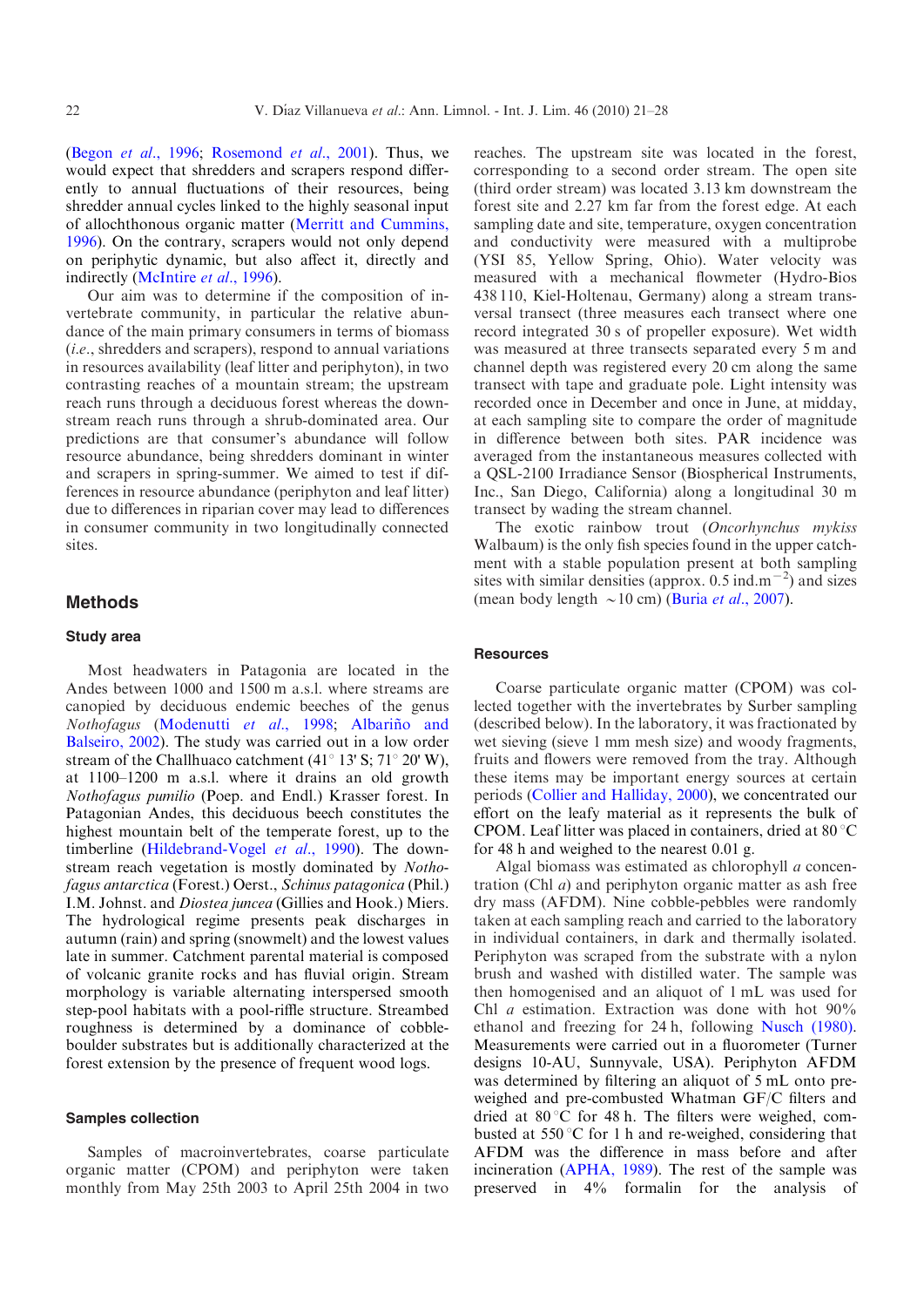(Begon et al.[, 1996;](#page-6-0) [Rosemond](#page-7-0) et al., 2001). Thus, we would expect that shredders and scrapers respond differently to annual fluctuations of their resources, being shredder annual cycles linked to the highly seasonal input of allochthonous organic matter ([Merritt and Cummins,](#page-7-0) [1996](#page-7-0)). On the contrary, scrapers would not only depend on periphytic dynamic, but also affect it, directly and indirectly [\(McIntire](#page-7-0) et al., 1996).

Our aim was to determine if the composition of invertebrate community, in particular the relative abundance of the main primary consumers in terms of biomass (i.e., shredders and scrapers), respond to annual variations in resources availability (leaf litter and periphyton), in two contrasting reaches of a mountain stream; the upstream reach runs through a deciduous forest whereas the downstream reach runs through a shrub-dominated area. Our predictions are that consumer's abundance will follow resource abundance, being shredders dominant in winter and scrapers in spring-summer. We aimed to test if differences in resource abundance (periphyton and leaf litter) due to differences in riparian cover may lead to differences in consumer community in two longitudinally connected sites.

## Methods

# Study area

Most headwaters in Patagonia are located in the Andes between 1000 and 1500 m a.s.l. where streams are canopied by deciduous endemic beeches of the genus Nothofagus [\(Modenutti](#page-7-0) et al., 1998; Albariño and [Balseiro, 2002\)](#page-6-0). The study was carried out in a low order stream of the Challhuaco catchment (41 $\degree$  13' S; 71 $\degree$  20' W), at 1100–1200 m a.s.l. where it drains an old growth Nothofagus pumilio (Poep. and Endl.) Krasser forest. In Patagonian Andes, this deciduous beech constitutes the highest mountain belt of the temperate forest, up to the timberline [\(Hildebrand-Vogel](#page-7-0) et al., 1990). The downstream reach vegetation is mostly dominated by Nothofagus antarctica (Forest.) Oerst., Schinus patagonica (Phil.) I.M. Johnst. and Diostea juncea (Gillies and Hook.) Miers. The hydrological regime presents peak discharges in autumn (rain) and spring (snowmelt) and the lowest values late in summer. Catchment parental material is composed of volcanic granite rocks and has fluvial origin. Stream morphology is variable alternating interspersed smooth step-pool habitats with a pool-riffle structure. Streambed roughness is determined by a dominance of cobbleboulder substrates but is additionally characterized at the forest extension by the presence of frequent wood logs.

#### Samples collection

Samples of macroinvertebrates, coarse particulate organic matter (CPOM) and periphyton were taken monthly from May 25th 2003 to April 25th 2004 in two reaches. The upstream site was located in the forest, corresponding to a second order stream. The open site (third order stream) was located 3.13 km downstream the forest site and 2.27 km far from the forest edge. At each sampling date and site, temperature, oxygen concentration and conductivity were measured with a multiprobe (YSI 85, Yellow Spring, Ohio). Water velocity was measured with a mechanical flowmeter (Hydro-Bios 438 110, Kiel-Holtenau, Germany) along a stream transversal transect (three measures each transect where one record integrated 30 s of propeller exposure). Wet width was measured at three transects separated every 5 m and channel depth was registered every 20 cm along the same transect with tape and graduate pole. Light intensity was recorded once in December and once in June, at midday, at each sampling site to compare the order of magnitude in difference between both sites. PAR incidence was averaged from the instantaneous measures collected with a QSL-2100 Irradiance Sensor (Biospherical Instruments, Inc., San Diego, California) along a longitudinal 30 m transect by wading the stream channel.

The exotic rainbow trout (Oncorhynchus mykiss Walbaum) is the only fish species found in the upper catchment with a stable population present at both sampling sites with similar densities (approx.  $0.5$  ind.m<sup>-2</sup>) and sizes (mean body length  $\sim$  10 cm) (Buria *et al.*[, 2007\)](#page-6-0).

## **Resources**

Coarse particulate organic matter (CPOM) was collected together with the invertebrates by Surber sampling (described below). In the laboratory, it was fractionated by wet sieving (sieve 1 mm mesh size) and woody fragments, fruits and flowers were removed from the tray. Although these items may be important energy sources at certain periods ([Collier and Halliday, 2000\)](#page-6-0), we concentrated our effort on the leafy material as it represents the bulk of CPOM. Leaf litter was placed in containers, dried at  $80^{\circ}$ C for 48 h and weighed to the nearest 0.01 g.

Algal biomass was estimated as chlorophyll a concentration (Chl a) and periphyton organic matter as ash free dry mass (AFDM). Nine cobble-pebbles were randomly taken at each sampling reach and carried to the laboratory in individual containers, in dark and thermally isolated. Periphyton was scraped from the substrate with a nylon brush and washed with distilled water. The sample was then homogenised and an aliquot of 1 mL was used for Chl a estimation. Extraction was done with hot 90% ethanol and freezing for 24 h, following [Nusch \(1980\).](#page-7-0) Measurements were carried out in a fluorometer (Turner designs 10-AU, Sunnyvale, USA). Periphyton AFDM was determined by filtering an aliquot of 5 mL onto preweighed and pre-combusted Whatman GF/C filters and dried at  $80^{\circ}$ C for 48 h. The filters were weighed, combusted at  $550^{\circ}$ C for 1 h and re-weighed, considering that AFDM was the difference in mass before and after incineration ([APHA, 1989](#page-6-0)). The rest of the sample was preserved in 4% formalin for the analysis of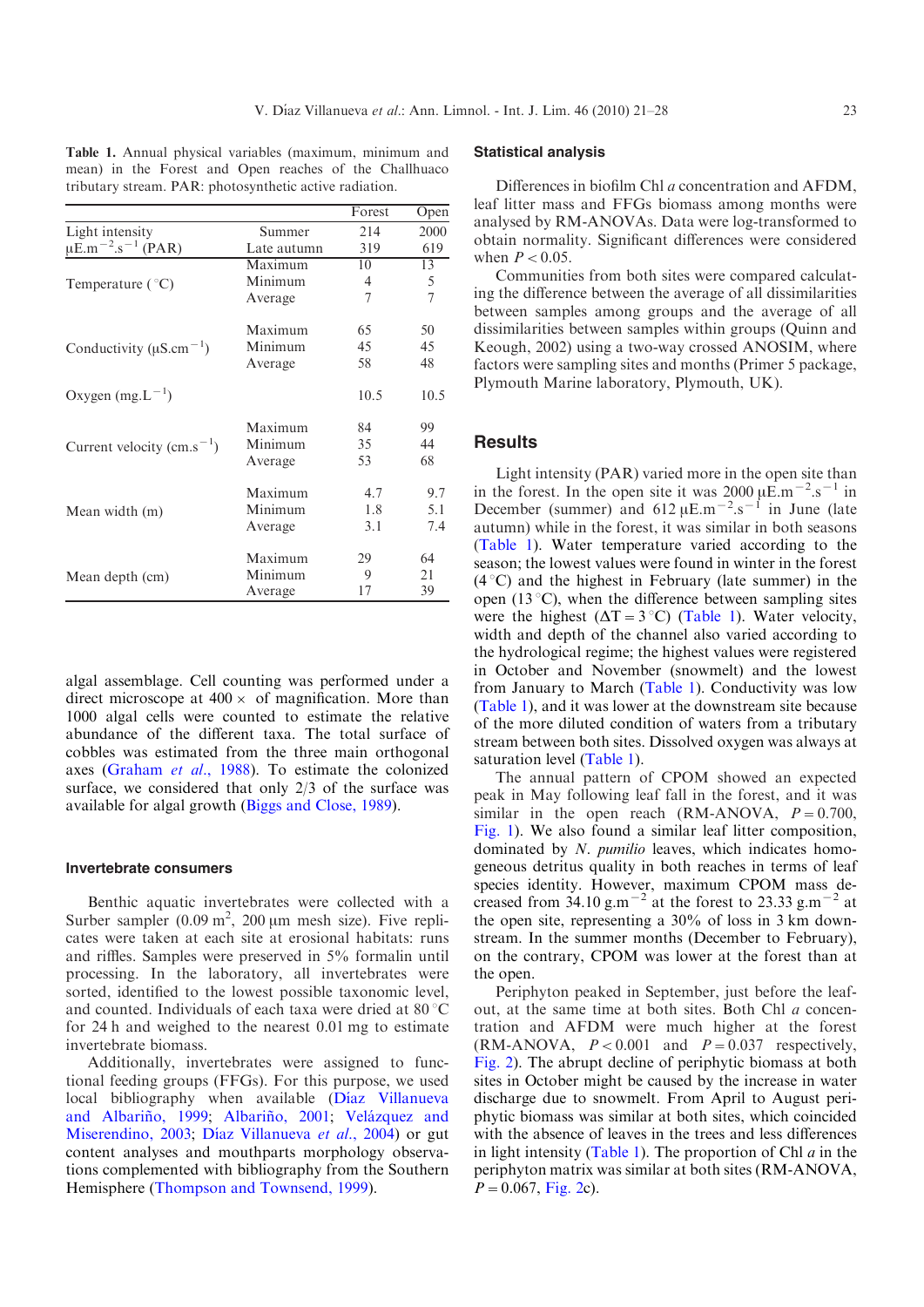Table 1. Annual physical variables (maximum, minimum and mean) in the Forest and Open reaches of the Challhuaco tributary stream. PAR: photosynthetic active radiation.

|                                                |             | Forest | Open |
|------------------------------------------------|-------------|--------|------|
| Light intensity                                | Summer      | 214    | 2000 |
| $\mu$ E.m <sup>-2</sup> .s <sup>-1</sup> (PAR) | Late autumn | 319    | 619  |
|                                                | Maximum     | 10     | 13   |
| Temperature $(^{\circ}C)$                      | Minimum     | 4      | 5    |
|                                                | Average     | 7      | 7    |
|                                                | Maximum     | 65     | 50   |
| Conductivity ( $\mu$ S.cm <sup>-1</sup> )      | Minimum     | 45     | 45   |
|                                                | Average     | 58     | 48   |
| Oxygen $(mg.L^{-1})$                           |             | 10.5   | 10.5 |
|                                                | Maximum     | 84     | 99   |
| Current velocity (cm.s <sup>-1</sup> )         | Minimum     | 35     | 44   |
|                                                | Average     | 53     | 68   |
|                                                | Maximum     | 4.7    | 9.7  |
| Mean width (m)                                 | Minimum     | 1.8    | 5.1  |
|                                                | Average     | 3.1    | 7.4  |
|                                                | Maximum     | 29     | 64   |
| Mean depth (cm)                                | Minimum     | 9      | 21   |
|                                                | Average     | 17     | 39   |

algal assemblage. Cell counting was performed under a direct microscope at  $400 \times$  of magnification. More than 1000 algal cells were counted to estimate the relative abundance of the different taxa. The total surface of cobbles was estimated from the three main orthogonal axes ([Graham](#page-7-0) et al., 1988). To estimate the colonized surface, we considered that only 2/3 of the surface was available for algal growth ([Biggs and Close, 1989\)](#page-6-0).

#### Invertebrate consumers

Benthic aquatic invertebrates were collected with a Surber sampler  $(0.09 \text{ m}^2, 200 \text{ µm} \text{ mesh size})$ . Five replicates were taken at each site at erosional habitats: runs and riffles. Samples were preserved in 5% formalin until processing. In the laboratory, all invertebrates were sorted, identified to the lowest possible taxonomic level, and counted. Individuals of each taxa were dried at  $80^{\circ}$ C for 24 h and weighed to the nearest 0.01 mg to estimate invertebrate biomass.

Additionally, invertebrates were assigned to functional feeding groups (FFGs). For this purpose, we used local bibliography when available (Díaz Villanueva and Albariño, 1999; Albariño, 2001; Velázquez and [Miserendino, 2003;](#page-7-0) Díaz Villanueva et al., 2004) or gut content analyses and mouthparts morphology observations complemented with bibliography from the Southern Hemisphere [\(Thompson and Townsend, 1999](#page-7-0)).

# Statistical analysis

Differences in biofilm Chl a concentration and AFDM, leaf litter mass and FFGs biomass among months were analysed by RM-ANOVAs. Data were log-transformed to obtain normality. Significant differences were considered when  $P < 0.05$ .

Communities from both sites were compared calculating the difference between the average of all dissimilarities between samples among groups and the average of all dissimilarities between samples within groups (Quinn and Keough, 2002) using a two-way crossed ANOSIM, where factors were sampling sites and months (Primer 5 package, Plymouth Marine laboratory, Plymouth, UK).

## **Results**

Light intensity (PAR) varied more in the open site than in the forest. In the open site it was  $2000 \mu \mathrm{E.m^{-2}.s^{-1}}$  in December (summer) and  $612 \mu E.m^{-2}.s^{-1}$  in June (late autumn) while in the forest, it was similar in both seasons (Table 1). Water temperature varied according to the season; the lowest values were found in winter in the forest  $(4^{\circ}C)$  and the highest in February (late summer) in the open (13 $^{\circ}$ C), when the difference between sampling sites were the highest  $(\Delta T = 3 \degree C)$  (Table 1). Water velocity, width and depth of the channel also varied according to the hydrological regime; the highest values were registered in October and November (snowmelt) and the lowest from January to March (Table 1). Conductivity was low (Table 1), and it was lower at the downstream site because of the more diluted condition of waters from a tributary stream between both sites. Dissolved oxygen was always at saturation level (Table 1).

The annual pattern of CPOM showed an expected peak in May following leaf fall in the forest, and it was similar in the open reach (RM-ANOVA,  $P = 0.700$ , [Fig. 1](#page-3-0)). We also found a similar leaf litter composition, dominated by N. pumilio leaves, which indicates homogeneous detritus quality in both reaches in terms of leaf species identity. However, maximum CPOM mass decreased from 34.10 g.m<sup> $-2$ </sup> at the forest to 23.33 g.m<sup> $-2$ </sup> at the open site, representing a 30% of loss in 3 km downstream. In the summer months (December to February), on the contrary, CPOM was lower at the forest than at the open.

Periphyton peaked in September, just before the leafout, at the same time at both sites. Both Chl a concentration and AFDM were much higher at the forest (RM-ANOVA,  $P < 0.001$  and  $P = 0.037$  respectively, [Fig. 2\)](#page-3-0). The abrupt decline of periphytic biomass at both sites in October might be caused by the increase in water discharge due to snowmelt. From April to August periphytic biomass was similar at both sites, which coincided with the absence of leaves in the trees and less differences in light intensity (Table 1). The proportion of Chl  $a$  in the periphyton matrix was similar at both sites (RM-ANOVA,  $P=0.067$ , [Fig. 2c](#page-3-0)).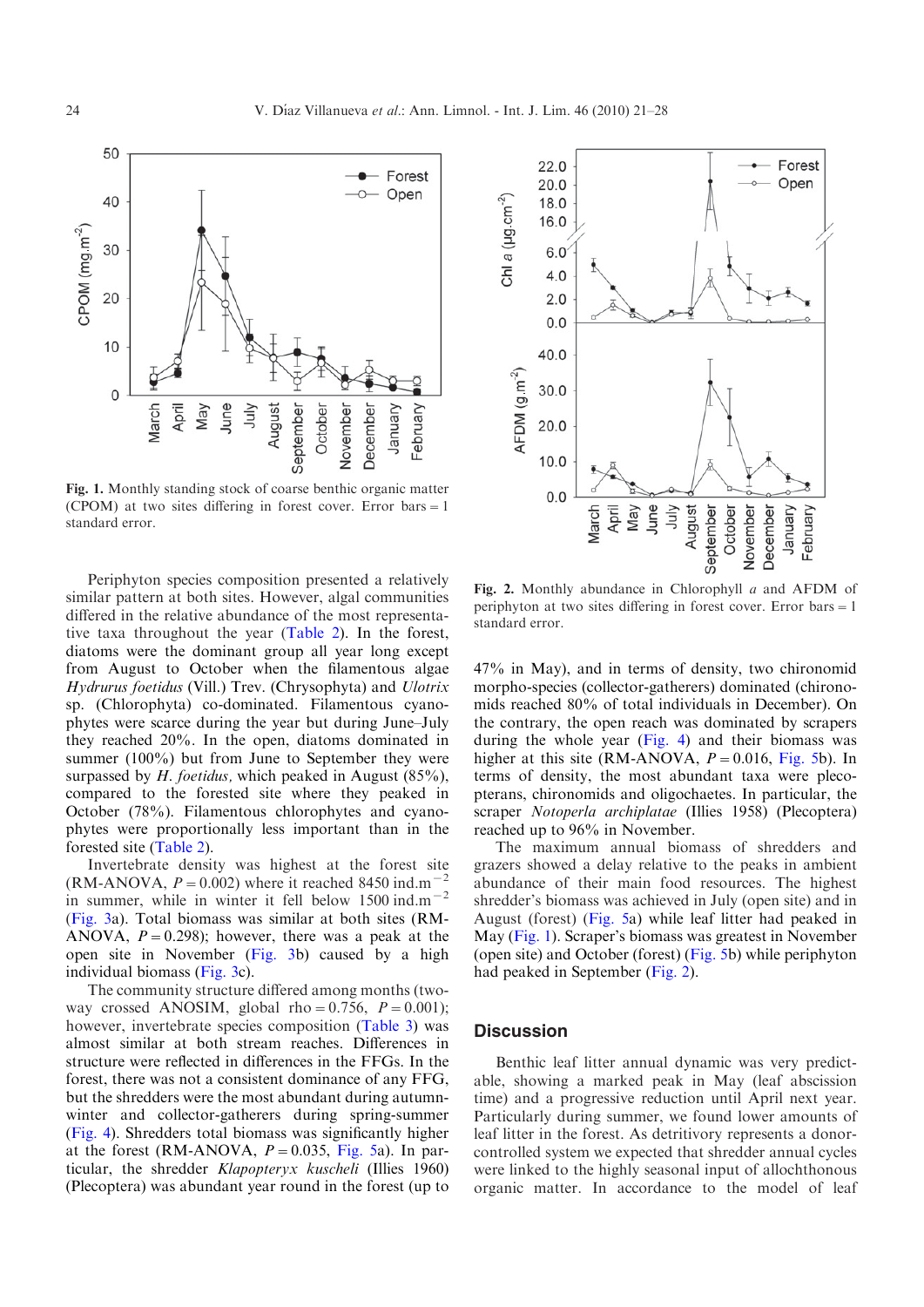<span id="page-3-0"></span>

Fig. 1. Monthly standing stock of coarse benthic organic matter (CPOM) at two sites differing in forest cover. Error bars =  $1$ standard error.

Periphyton species composition presented a relatively similar pattern at both sites. However, algal communities differed in the relative abundance of the most representative taxa throughout the year ([Table 2](#page-4-0)). In the forest, diatoms were the dominant group all year long except from August to October when the filamentous algae Hydrurus foetidus (Vill.) Trev. (Chrysophyta) and Ulotrix sp. (Chlorophyta) co-dominated. Filamentous cyanophytes were scarce during the year but during June–July they reached 20%. In the open, diatoms dominated in summer (100%) but from June to September they were surpassed by  $H.$  foetidus, which peaked in August (85%), compared to the forested site where they peaked in October (78%). Filamentous chlorophytes and cyanophytes were proportionally less important than in the forested site [\(Table 2](#page-4-0)).

Invertebrate density was highest at the forest site (RM-ANOVA,  $P = 0.002$ ) where it reached 8450 ind.m<sup>-2</sup> in summer, while in winter it fell below  $1500 \text{ ind.m}^{-2}$ ([Fig. 3a](#page-4-0)). Total biomass was similar at both sites (RM-ANOVA,  $P = 0.298$ ; however, there was a peak at the open site in November ([Fig. 3b](#page-4-0)) caused by a high individual biomass ([Fig. 3](#page-4-0)c).

The community structure differed among months (twoway crossed ANOSIM, global rho=0.756,  $P = 0.001$ ); however, invertebrate species composition [\(Table 3](#page-5-0)) was almost similar at both stream reaches. Differences in structure were reflected in differences in the FFGs. In the forest, there was not a consistent dominance of any FFG, but the shredders were the most abundant during autumnwinter and collector-gatherers during spring-summer ([Fig. 4](#page-5-0)). Shredders total biomass was significantly higher at the forest (RM-ANOVA,  $P = 0.035$ , [Fig. 5](#page-5-0)a). In particular, the shredder Klapopteryx kuscheli (Illies 1960) (Plecoptera) was abundant year round in the forest (up to



Fig. 2. Monthly abundance in Chlorophyll a and AFDM of periphyton at two sites differing in forest cover. Error bars  $=1$ standard error.

47% in May), and in terms of density, two chironomid morpho-species (collector-gatherers) dominated (chironomids reached 80% of total individuals in December). On the contrary, the open reach was dominated by scrapers during the whole year  $(Fig. 4)$  $(Fig. 4)$  $(Fig. 4)$  and their biomass was higher at this site (RM-ANOVA,  $P = 0.016$ , [Fig. 5b](#page-5-0)). In terms of density, the most abundant taxa were plecopterans, chironomids and oligochaetes. In particular, the scraper Notoperla archiplatae (Illies 1958) (Plecoptera) reached up to 96% in November.

The maximum annual biomass of shredders and grazers showed a delay relative to the peaks in ambient abundance of their main food resources. The highest shredder's biomass was achieved in July (open site) and in August (forest) ([Fig. 5](#page-5-0)a) while leaf litter had peaked in May (Fig. 1). Scraper's biomass was greatest in November (open site) and October (forest) [\(Fig. 5b](#page-5-0)) while periphyton had peaked in September (Fig. 2).

### **Discussion**

Benthic leaf litter annual dynamic was very predictable, showing a marked peak in May (leaf abscission time) and a progressive reduction until April next year. Particularly during summer, we found lower amounts of leaf litter in the forest. As detritivory represents a donorcontrolled system we expected that shredder annual cycles were linked to the highly seasonal input of allochthonous organic matter. In accordance to the model of leaf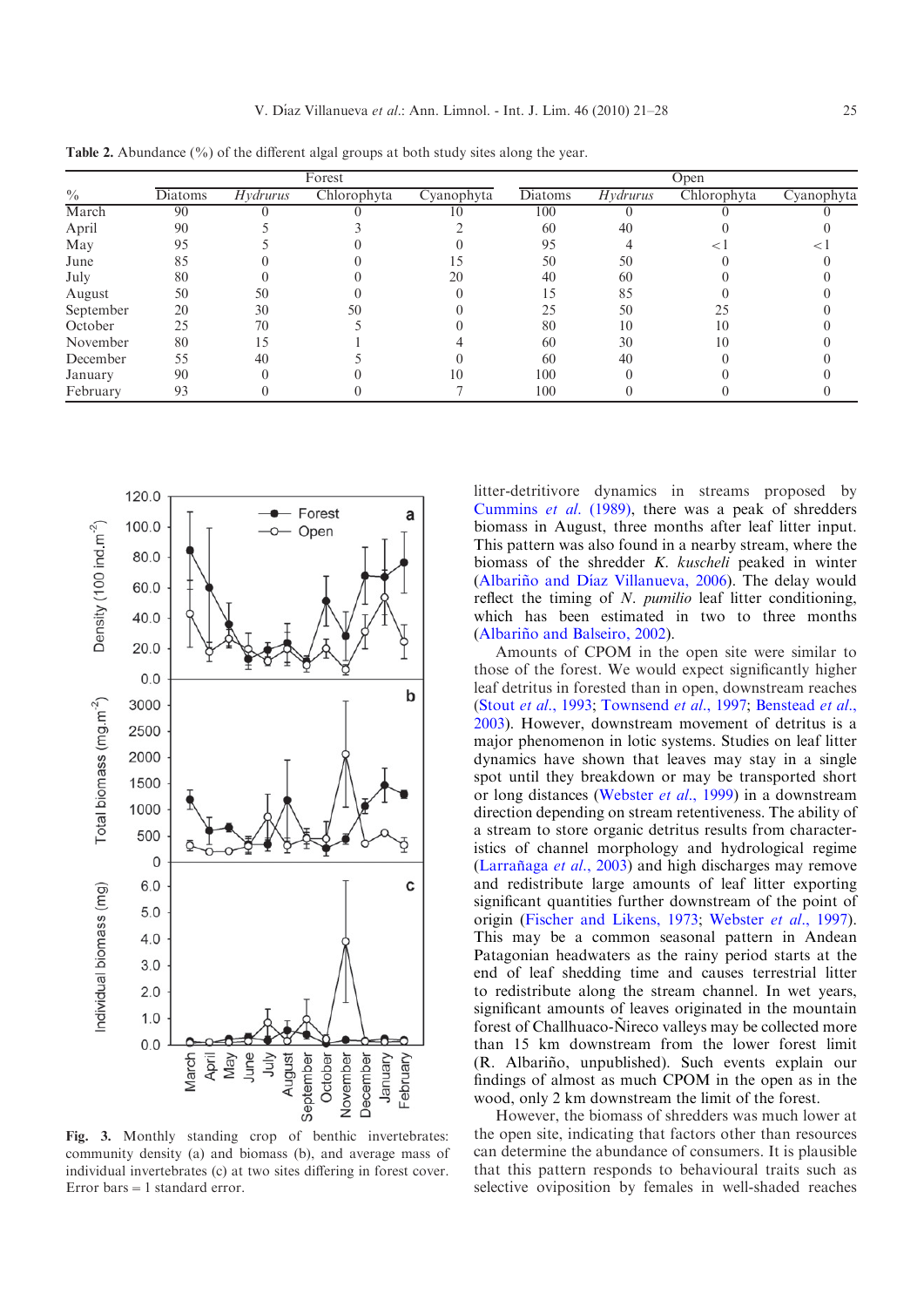| <b>Table 2.</b> Troundance (70) of the unferent argaing toups at both study sites along the year. |         |                 |             |            |         |                 |             |            |
|---------------------------------------------------------------------------------------------------|---------|-----------------|-------------|------------|---------|-----------------|-------------|------------|
|                                                                                                   | Forest  |                 |             | Open       |         |                 |             |            |
| $\frac{0}{0}$                                                                                     | Diatoms | <i>Hydrurus</i> | Chlorophyta | Cyanophyta | Diatoms | <i>Hydrurus</i> | Chlorophyta | Cyanophyta |
| March                                                                                             | 90      |                 |             |            | 100     |                 |             |            |
| April                                                                                             | 90      |                 |             |            | 60      | 40              |             |            |
| May                                                                                               | 95      |                 |             |            | 95      |                 |             |            |
| June                                                                                              |         |                 |             |            | 50      | 50              |             |            |
| July                                                                                              | 80      |                 |             | 20         | 40      | 60              |             |            |
| August                                                                                            | 50      | 50              |             |            |         |                 |             |            |
| September                                                                                         | 20      | 30              | 50          |            | 25      | 50              |             |            |
| October                                                                                           | 25      | 70              |             |            | 80      |                 | 10          |            |
| November                                                                                          | 80      | 15              |             |            | 60      | 30              | 10          |            |
| December                                                                                          | 55      | 40              |             |            | 60      | 40              |             |            |
| January                                                                                           | 90      |                 |             |            | 100     |                 |             |            |

February 93 0 0 7 100 0 0 0

<span id="page-4-0"></span>**Table 2.** Abundance  $\binom{0}{0}$  of the different algal groups at both study sites along the year.



Fig. 3. Monthly standing crop of benthic invertebrates: community density (a) and biomass (b), and average mass of individual invertebrates (c) at two sites differing in forest cover. Error bars  $=1$  standard error.

litter-detritivore dynamics in streams proposed by [Cummins](#page-6-0) et al. (1989), there was a peak of shredders biomass in August, three months after leaf litter input. This pattern was also found in a nearby stream, where the biomass of the shredder K. kuscheli peaked in winter (Albariño and Díaz Villanueva, 2006). The delay would reflect the timing of  $N$ . pumilio leaf litter conditioning, which has been estimated in two to three months (Albariño and Balseiro, 2002).

Amounts of CPOM in the open site were similar to those of the forest. We would expect significantly higher leaf detritus in forested than in open, downstream reaches (Stout et al.[, 1993](#page-7-0); [Townsend](#page-7-0) et al., 1997; [Benstead](#page-6-0) et al., [2003](#page-6-0)). However, downstream movement of detritus is a major phenomenon in lotic systems. Studies on leaf litter dynamics have shown that leaves may stay in a single spot until they breakdown or may be transported short or long distances ([Webster](#page-7-0) et al., 1999) in a downstream direction depending on stream retentiveness. The ability of a stream to store organic detritus results from characteristics of channel morphology and hydrological regime (Larrañaga *et al.*, 2003) and high discharges may remove and redistribute large amounts of leaf litter exporting significant quantities further downstream of the point of origin [\(Fischer and Likens, 1973;](#page-7-0) [Webster](#page-7-0) et al., 1997). This may be a common seasonal pattern in Andean Patagonian headwaters as the rainy period starts at the end of leaf shedding time and causes terrestrial litter to redistribute along the stream channel. In wet years, significant amounts of leaves originated in the mountain forest of Challhuaco-Ñireco valleys may be collected more than 15 km downstream from the lower forest limit (R. Albariño, unpublished). Such events explain our findings of almost as much CPOM in the open as in the wood, only 2 km downstream the limit of the forest.

However, the biomass of shredders was much lower at the open site, indicating that factors other than resources can determine the abundance of consumers. It is plausible that this pattern responds to behavioural traits such as selective oviposition by females in well-shaded reaches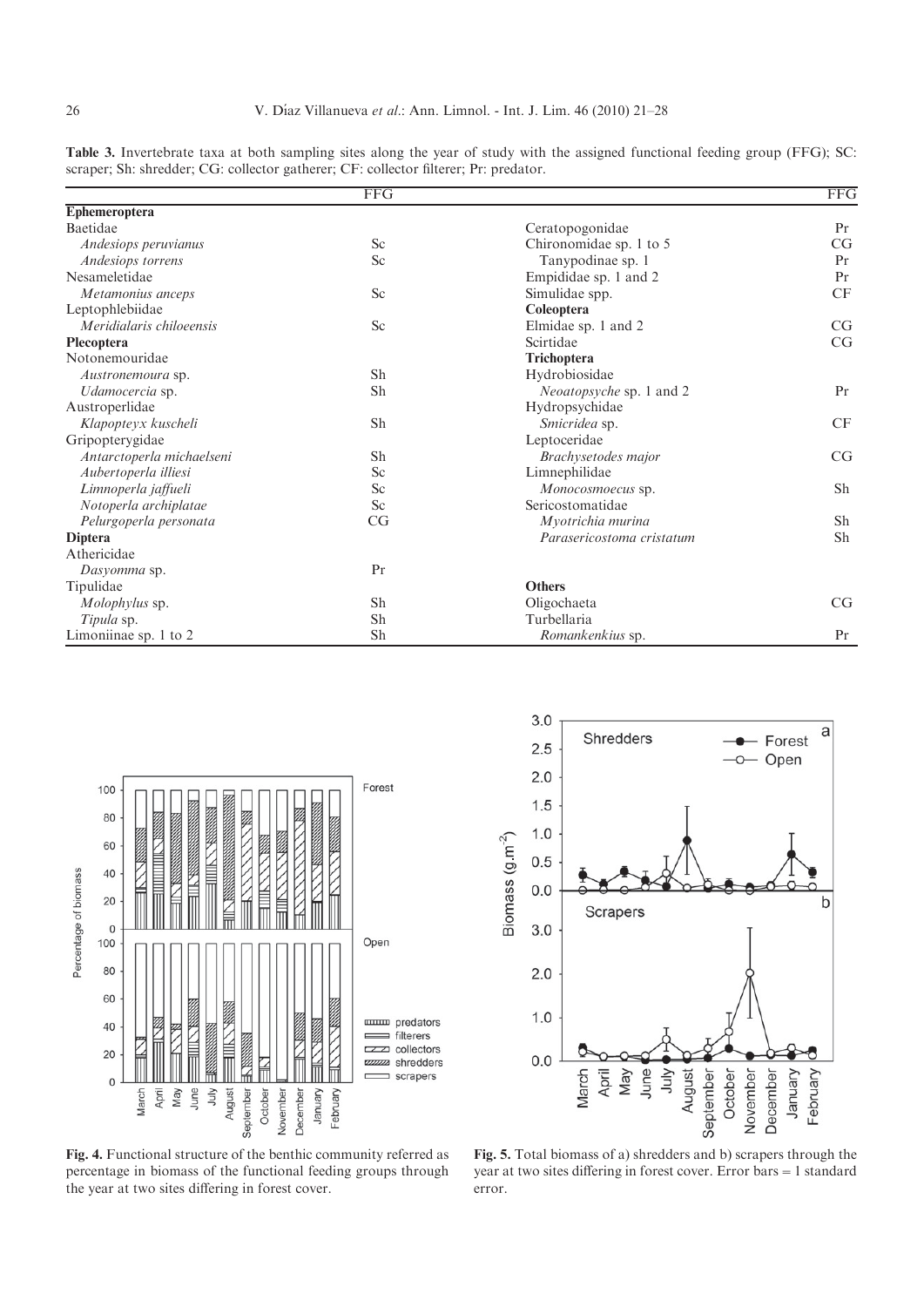|                           | $\overline{\text{FFG}}$ |                                 | $\overline{\text{FFG}}$ |
|---------------------------|-------------------------|---------------------------------|-------------------------|
| Ephemeroptera             |                         |                                 |                         |
| Baetidae                  |                         | Ceratopogonidae                 | Pr                      |
| Andesiops peruvianus      | Sc                      | Chironomidae sp. 1 to 5         | CG                      |
| Andesiops torrens         | Sc                      | Tanypodinae sp. 1               | Pr                      |
| Nesameletidae             |                         | Empididae sp. 1 and 2           | Pr                      |
| Metamonius anceps         | Sc                      | Simulidae spp.                  | CF                      |
| Leptophlebiidae           |                         | Coleoptera                      |                         |
| Meridialaris chiloeensis  | Sc                      | Elmidae sp. 1 and 2             | CG                      |
| Plecoptera                |                         | Scirtidae                       | CG                      |
| Notonemouridae            |                         | <b>Trichoptera</b>              |                         |
| Austronemoura sp.         | Sh                      | Hydrobiosidae                   |                         |
| Udamocercia sp.           | Sh                      | <i>Neoatopsyche</i> sp. 1 and 2 | Pr                      |
| Austroperlidae            |                         | Hydropsychidae                  |                         |
| Klapopteyx kuscheli       | Sh                      | Smicridea sp.                   | CF                      |
| Gripopterygidae           |                         | Leptoceridae                    |                         |
| Antarctoperla michaelseni | Sh                      | Brachysetodes major             | CG                      |
| Aubertoperla illiesi      | Sc                      | Limnephilidae                   |                         |
| Limnoperla jaffueli       | Sc                      | Monocosmoecus sp.               | Sh                      |
| Notoperla archiplatae     | Sc                      | Sericostomatidae                |                         |
| Pelurgoperla personata    | CG                      | Myotrichia murina               | Sh                      |
| <b>Diptera</b>            |                         | Parasericostoma cristatum       | Sh                      |
| Athericidae               |                         |                                 |                         |
| Dasyomma sp.              | Pr                      |                                 |                         |
| Tipulidae                 |                         | <b>Others</b>                   |                         |
| Molophylus sp.            | Sh                      | Oligochaeta                     | CG                      |
| Tipula sp.                | Sh                      | Turbellaria                     |                         |
| Limoniinae sp. 1 to 2     | Sh                      | Romankenkius sp.                | Pr                      |

<span id="page-5-0"></span>Table 3. Invertebrate taxa at both sampling sites along the year of study with the assigned functional feeding group (FFG); SC: scraper; Sh: shredder; CG: collector gatherer; CF: collector filterer; Pr: predator.





Fig. 4. Functional structure of the benthic community referred as percentage in biomass of the functional feeding groups through the year at two sites differing in forest cover.

Fig. 5. Total biomass of a) shredders and b) scrapers through the year at two sites differing in forest cover. Error bars=1 standard error.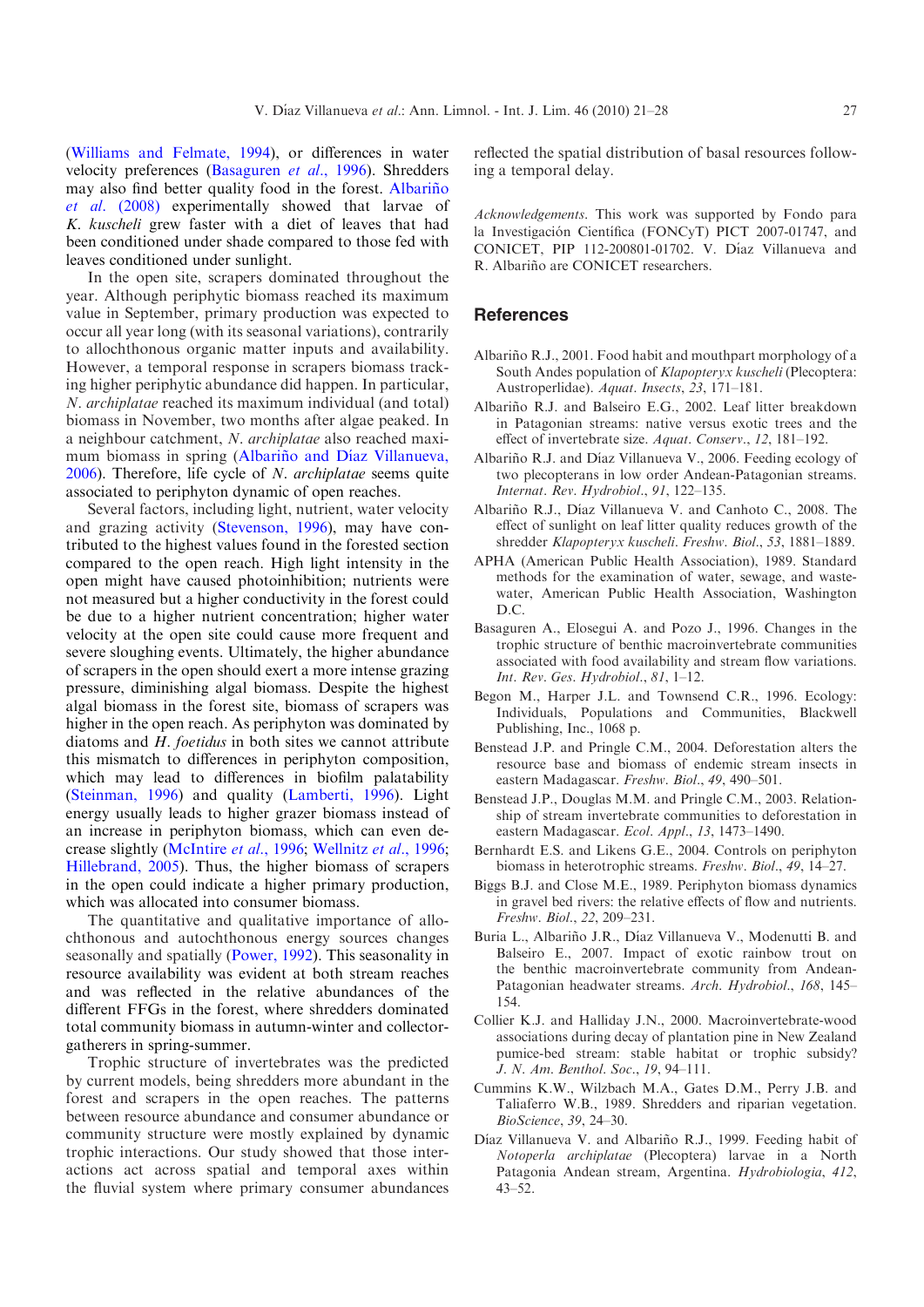<span id="page-6-0"></span>([Williams and Felmate, 1994\)](#page-7-0), or differences in water velocity preferences (Basaguren et al., 1996). Shredders may also find better quality food in the forest. Albariño et al. (2008) experimentally showed that larvae of K. kuscheli grew faster with a diet of leaves that had been conditioned under shade compared to those fed with leaves conditioned under sunlight.

In the open site, scrapers dominated throughout the year. Although periphytic biomass reached its maximum value in September, primary production was expected to occur all year long (with its seasonal variations), contrarily to allochthonous organic matter inputs and availability. However, a temporal response in scrapers biomass tracking higher periphytic abundance did happen. In particular, N. archiplatae reached its maximum individual (and total) biomass in November, two months after algae peaked. In a neighbour catchment, N. archiplatae also reached maximum biomass in spring (Albariño and Díaz Villanueva, 2006). Therefore, life cycle of N. archiplatae seems quite associated to periphyton dynamic of open reaches.

Several factors, including light, nutrient, water velocity and grazing activity ([Stevenson, 1996](#page-7-0)), may have contributed to the highest values found in the forested section compared to the open reach. High light intensity in the open might have caused photoinhibition; nutrients were not measured but a higher conductivity in the forest could be due to a higher nutrient concentration; higher water velocity at the open site could cause more frequent and severe sloughing events. Ultimately, the higher abundance of scrapers in the open should exert a more intense grazing pressure, diminishing algal biomass. Despite the highest algal biomass in the forest site, biomass of scrapers was higher in the open reach. As periphyton was dominated by diatoms and H. foetidus in both sites we cannot attribute this mismatch to differences in periphyton composition, which may lead to differences in biofilm palatability ([Steinman, 1996](#page-7-0)) and quality ([Lamberti, 1996](#page-7-0)). Light energy usually leads to higher grazer biomass instead of an increase in periphyton biomass, which can even decrease slightly ([McIntire](#page-7-0) et al., 1996; [Wellnitz](#page-7-0) et al., 1996; [Hillebrand, 2005](#page-7-0)). Thus, the higher biomass of scrapers in the open could indicate a higher primary production, which was allocated into consumer biomass.

The quantitative and qualitative importance of allochthonous and autochthonous energy sources changes seasonally and spatially ([Power, 1992\)](#page-7-0). This seasonality in resource availability was evident at both stream reaches and was reflected in the relative abundances of the different FFGs in the forest, where shredders dominated total community biomass in autumn-winter and collectorgatherers in spring-summer.

Trophic structure of invertebrates was the predicted by current models, being shredders more abundant in the forest and scrapers in the open reaches. The patterns between resource abundance and consumer abundance or community structure were mostly explained by dynamic trophic interactions. Our study showed that those interactions act across spatial and temporal axes within the fluvial system where primary consumer abundances reflected the spatial distribution of basal resources following a temporal delay.

Acknowledgements. This work was supported by Fondo para la Investigación Científica (FONCyT) PICT 2007-01747, and CONICET, PIP 112-200801-01702. V. Díaz Villanueva and R. Albariño are CONICET researchers.

# **References**

- Albariño R.J., 2001. Food habit and mouthpart morphology of a South Andes population of Klapopteryx kuscheli (Plecoptera: Austroperlidae). Aquat. Insects, 23, 171–181.
- Albariño R.J. and Balseiro E.G., 2002. Leaf litter breakdown in Patagonian streams: native versus exotic trees and the effect of invertebrate size. Aquat. Conserv., 12, 181–192.
- Albariño R.J. and Díaz Villanueva V., 2006. Feeding ecology of two plecopterans in low order Andean-Patagonian streams. Internat. Rev. Hydrobiol., 91, 122–135.
- Albariño R.J., Díaz Villanueva V. and Canhoto C., 2008. The effect of sunlight on leaf litter quality reduces growth of the shredder Klapopteryx kuscheli. Freshw. Biol., 53, 1881–1889.
- APHA (American Public Health Association), 1989. Standard methods for the examination of water, sewage, and wastewater, American Public Health Association, Washington D.C.
- Basaguren A., Elosegui A. and Pozo J., 1996. Changes in the trophic structure of benthic macroinvertebrate communities associated with food availability and stream flow variations. Int. Rev. Ges. Hydrobiol., 81, 1–12.
- Begon M., Harper J.L. and Townsend C.R., 1996. Ecology: Individuals, Populations and Communities, Blackwell Publishing, Inc., 1068 p.
- Benstead J.P. and Pringle C.M., 2004. Deforestation alters the resource base and biomass of endemic stream insects in eastern Madagascar. Freshw. Biol., 49, 490–501.
- Benstead J.P., Douglas M.M. and Pringle C.M., 2003. Relationship of stream invertebrate communities to deforestation in eastern Madagascar. Ecol. Appl., 13, 1473–1490.
- Bernhardt E.S. and Likens G.E., 2004. Controls on periphyton biomass in heterotrophic streams. Freshw. Biol., 49, 14–27.
- Biggs B.J. and Close M.E., 1989. Periphyton biomass dynamics in gravel bed rivers: the relative effects of flow and nutrients. Freshw. Biol., 22, 209–231.
- Buria L., Albariño J.R., Díaz Villanueva V., Modenutti B. and Balseiro E., 2007. Impact of exotic rainbow trout on the benthic macroinvertebrate community from Andean-Patagonian headwater streams. Arch. Hydrobiol., 168, 145– 154.
- Collier K.J. and Halliday J.N., 2000. Macroinvertebrate-wood associations during decay of plantation pine in New Zealand pumice-bed stream: stable habitat or trophic subsidy? J. N. Am. Benthol. Soc., 19, 94–111.
- Cummins K.W., Wilzbach M.A., Gates D.M., Perry J.B. and Taliaferro W.B., 1989. Shredders and riparian vegetation. BioScience, 39, 24–30.
- Díaz Villanueva V. and Albariño R.J., 1999. Feeding habit of Notoperla archiplatae (Plecoptera) larvae in a North Patagonia Andean stream, Argentina. Hydrobiologia, 412, 43–52.